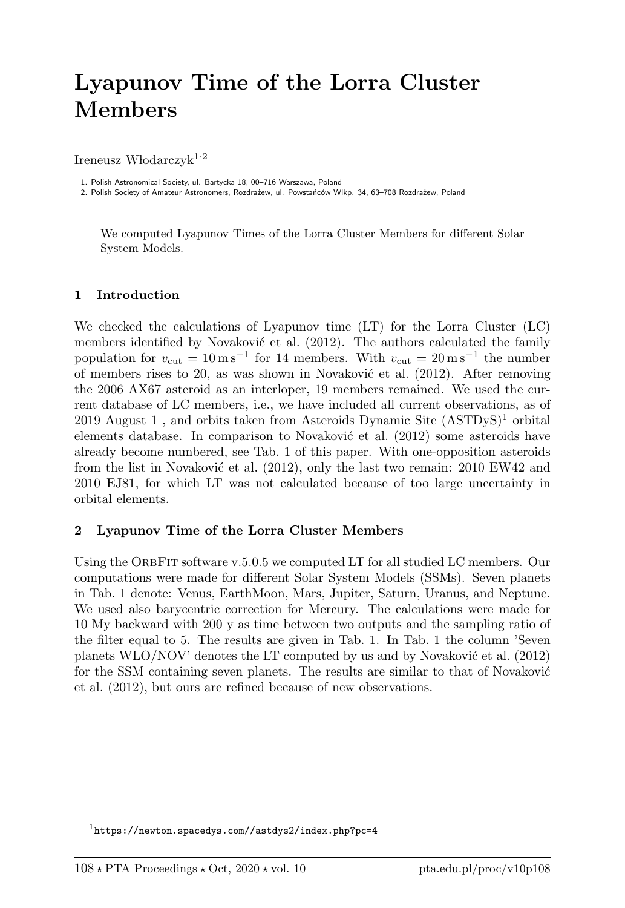## Lyapunov Time of the Lorra Cluster Members

Ireneusz Włodarczyk<sup>1.2</sup>

1. Polish Astronomical Society, ul. Bartycka 18, 00–716 Warszawa, Poland

2. Polish Society of Amateur Astronomers, Rozdrażew, ul. Powstańców Wlkp. 34, 63–708 Rozdrażew, Poland

We computed Lyapunov Times of the Lorra Cluster Members for different Solar System Models.

## 1 Introduction

We checked the calculations of Lyapunov time (LT) for the Lorra Cluster (LC) members identified by Novaković et al.  $(2012)$ . The authors calculated the family population for  $v_{\text{cut}} = 10 \,\text{m s}^{-1}$  for 14 members. With  $v_{\text{cut}} = 20 \,\text{m s}^{-1}$  the number of members rises to 20, as was shown in Novaković et al.  $(2012)$ . After removing the 2006 AX67 asteroid as an interloper, 19 members remained. We used the current database of LC members, i.e., we have included all current observations, as of 2019 August 1, and orbits taken from Asteroids Dynamic Site  $(ASTDyS)^1$  orbital elements database. In comparison to Novaković et al.  $(2012)$  some asteroids have already become numbered, see Tab. 1 of this paper. With one-opposition asteroids from the list in Novaković et al.  $(2012)$ , only the last two remain:  $2010 \text{ EW}42$  and 2010 EJ81, for which LT was not calculated because of too large uncertainty in orbital elements.

## 2 Lyapunov Time of the Lorra Cluster Members

Using the ORBFIT software v.5.0.5 we computed LT for all studied LC members. Our computations were made for different Solar System Models (SSMs). Seven planets in Tab. 1 denote: Venus, EarthMoon, Mars, Jupiter, Saturn, Uranus, and Neptune. We used also barycentric correction for Mercury. The calculations were made for 10 My backward with 200 y as time between two outputs and the sampling ratio of the filter equal to 5. The results are given in Tab. 1. In Tab. 1 the column 'Seven planets  $WLO/NOV'$  denotes the LT computed by us and by Novaković et al. (2012) for the SSM containing seven planets. The results are similar to that of Novaković et al. (2012), but ours are refined because of new observations.

<sup>1</sup>https://newton.spacedys.com//astdys2/index.php?pc=4